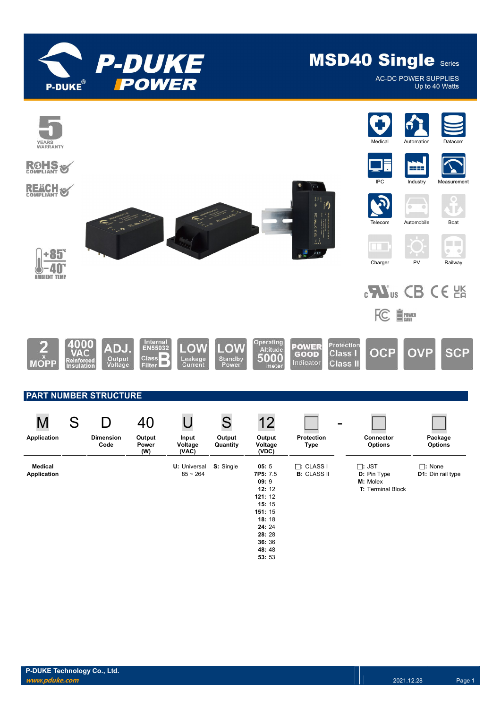

**AC-DC POWER SUPPLIES** Up to 40 Watts

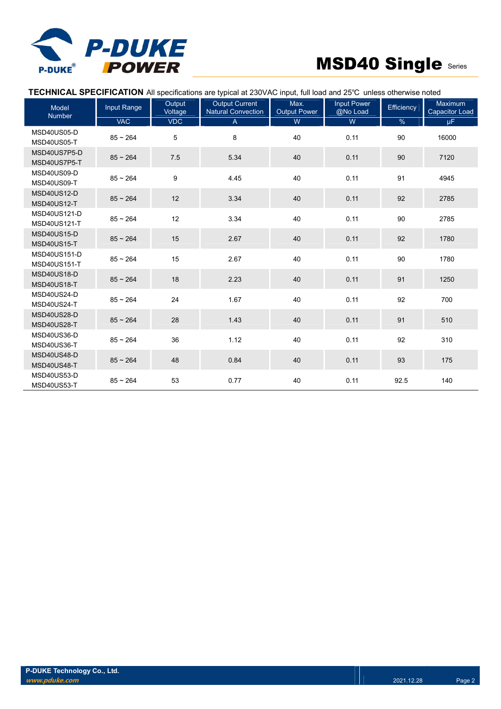

TECHNICAL SPECIFICATION All specifications are typical at 230VAC input, full load and 25℃ unless otherwise noted

| Model<br><b>Number</b>                     | <b>Input Range</b> | Output<br>Voltage | <b>Output Current</b><br>Natural Convection | Max.<br><b>Output Power</b> | <b>Input Power</b><br>@No Load | Efficiency | <b>Maximum</b><br><b>Capacitor Load</b> |
|--------------------------------------------|--------------------|-------------------|---------------------------------------------|-----------------------------|--------------------------------|------------|-----------------------------------------|
|                                            | <b>VAC</b>         | <b>VDC</b>        | $\overline{A}$                              | W                           | W                              | $\%$       | μF.                                     |
| MSD40US05-D<br>MSD40US05-T                 | $85 - 264$         | 5                 | 8                                           | 40                          | 0.11                           | 90         | 16000                                   |
| MSD40US7P5-D<br>MSD40US7P5-T               | $85 - 264$         | 7.5               | 5.34                                        | 40                          | 0.11                           | 90         | 7120                                    |
| MSD40US09-D<br>MSD40US09-T                 | $85 - 264$         | $\boldsymbol{9}$  | 4.45                                        | 40                          | 0.11                           | 91         | 4945                                    |
| <b>MSD40US12-D</b><br><b>MSD40US12-T</b>   | $85 - 264$         | 12                | 3.34                                        | 40                          | 0.11                           | 92         | 2785                                    |
| MSD40US121-D<br>MSD40US121-T               | $85 - 264$         | 12                | 3.34                                        | 40                          | 0.11                           | 90         | 2785                                    |
| MSD40US15-D<br><b>MSD40US15-T</b>          | $85 - 264$         | 15                | 2.67                                        | 40                          | 0.11                           | 92         | 1780                                    |
| <b>MSD40US151-D</b><br><b>MSD40US151-T</b> | $85 - 264$         | 15                | 2.67                                        | 40                          | 0.11                           | 90         | 1780                                    |
| MSD40US18-D<br>MSD40US18-T                 | $85 - 264$         | 18                | 2.23                                        | 40                          | 0.11                           | 91         | 1250                                    |
| MSD40US24-D<br>MSD40US24-T                 | $85 - 264$         | 24                | 1.67                                        | 40                          | 0.11                           | 92         | 700                                     |
| MSD40US28-D<br>MSD40US28-T                 | $85 - 264$         | 28                | 1.43                                        | 40                          | 0.11                           | 91         | 510                                     |
| MSD40US36-D<br>MSD40US36-T                 | $85 - 264$         | 36                | 1.12                                        | 40                          | 0.11                           | 92         | 310                                     |
| MSD40US48-D<br>MSD40US48-T                 | $85 - 264$         | 48                | 0.84                                        | 40                          | 0.11                           | 93         | 175                                     |
| MSD40US53-D<br>MSD40US53-T                 | $85 - 264$         | 53                | 0.77                                        | 40                          | 0.11                           | 92.5       | 140                                     |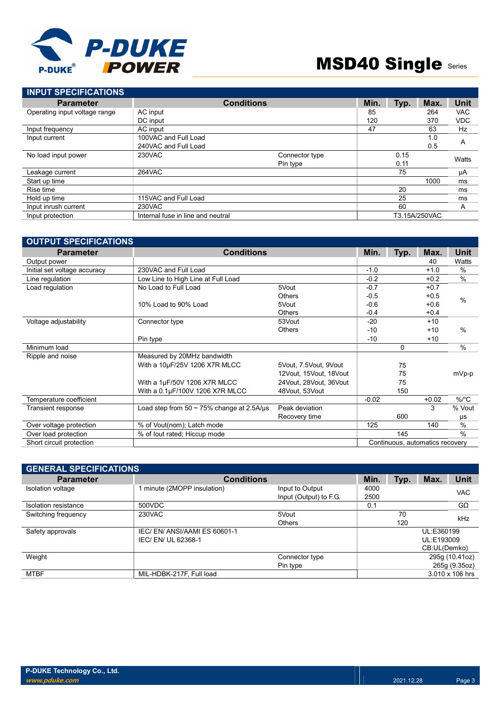

| <b>INPUT SPECIFICATIONS</b>   |                                   |                   |      |      |               |             |
|-------------------------------|-----------------------------------|-------------------|------|------|---------------|-------------|
| <b>Parameter</b>              |                                   | <b>Conditions</b> | Min. | Typ. | Max.          | <b>Unit</b> |
| Operating input voltage range | AC input                          |                   | 85   |      | 264           | <b>VAC</b>  |
|                               | DC input                          |                   | 120  |      | 370           | <b>VDC</b>  |
| Input frequency               | AC input                          |                   | 47   |      | 63            | Hz          |
| Input current                 | 100VAC and Full Load              |                   |      |      | 1.0           | A           |
|                               | 240VAC and Full Load              |                   |      |      | 0.5           |             |
| No load input power           | 230VAC                            | Connector type    |      | 0.15 |               | Watts       |
|                               |                                   | Pin type          |      | 0.11 |               |             |
| Leakage current               | <b>264VAC</b>                     |                   |      | 75   |               | μA          |
| Start up time                 |                                   |                   |      |      | 1000          | ms          |
| Rise time                     |                                   |                   |      | 20   |               | ms          |
| Hold up time                  | 115VAC and Full Load              |                   |      | 25   |               | ms          |
| Input inrush current          | 230VAC                            |                   |      | 60   |               | A           |
| Input protection              | Internal fuse in line and neutral |                   |      |      | T3.15A/250VAC |             |

| <b>OUTPUT SPECIFICATIONS</b> |                                                 |                        |         |      |                                 |               |
|------------------------------|-------------------------------------------------|------------------------|---------|------|---------------------------------|---------------|
| <b>Parameter</b>             | <b>Conditions</b>                               |                        | Min.    | Typ. | Max.                            | <b>Unit</b>   |
| Output power                 |                                                 |                        |         |      | 40                              | Watts         |
| Initial set voltage accuracy | 230VAC and Full Load                            |                        | $-1.0$  |      | $+1.0$                          | $\%$          |
| Line regulation              | Low Line to High Line at Full Load              |                        | $-0.2$  |      | $+0.2$                          | $\frac{0}{0}$ |
| Load regulation              | No Load to Full Load                            | 5Vout                  | $-0.7$  |      | $+0.7$                          |               |
|                              |                                                 | <b>Others</b>          | $-0.5$  |      | $+0.5$                          | $\frac{0}{0}$ |
|                              | 10% Load to 90% Load                            | 5Vout                  | $-0.6$  |      | $+0.6$                          |               |
|                              |                                                 | <b>Others</b>          | $-0.4$  |      | $+0.4$                          |               |
| Voltage adjustability        | Connector type                                  | 53Vout                 | $-20$   |      | $+10$                           |               |
|                              |                                                 | <b>Others</b>          | $-10$   |      | $+10$                           | $\frac{0}{0}$ |
|                              | Pin type                                        |                        | $-10$   |      | $+10$                           |               |
| Minimum load                 |                                                 |                        |         | 0    |                                 | $\frac{0}{0}$ |
| Ripple and noise             | Measured by 20MHz bandwidth                     |                        |         |      |                                 |               |
|                              | With a 10µF/25V 1206 X7R MLCC                   | 5Vout, 7.5Vout, 9Vout  |         | 75   |                                 |               |
|                              |                                                 | 12Vout, 15Vout, 18Vout |         | 75   |                                 | mVp-p         |
|                              | With a 1µF/50V 1206 X7R MLCC                    | 24Vout, 28Vout, 36Vout |         | 75   |                                 |               |
|                              | With a 0.1µF/100V 1206 X7R MLCC                 | 48Vout, 53Vout         |         | 150  |                                 |               |
| Temperature coefficient      |                                                 |                        | $-0.02$ |      | $+0.02$                         | $\%$ /°C      |
| Transient response           | Load step from $50 \sim 75\%$ change at 2.5A/us | Peak deviation         |         |      | 3                               | % Vout        |
|                              |                                                 | Recovery time          |         | 600  |                                 | μs            |
| Over voltage protection      | % of Vout(nom); Latch mode                      |                        | 125     |      | 140                             | $\frac{0}{0}$ |
| Over load protection         | % of lout rated; Hiccup mode                    |                        |         | 145  |                                 | $\frac{0}{0}$ |
| Short circuit protection     |                                                 |                        |         |      | Continuous, automatics recovery |               |

| <b>GENERAL SPECIFICATIONS</b> |                            |                        |      |      |              |                 |
|-------------------------------|----------------------------|------------------------|------|------|--------------|-----------------|
| <b>Parameter</b>              | <b>Conditions</b>          |                        | Min. | Typ. | Max.         | Unit            |
| Isolation voltage             | minute (2MOPP insulation)  | Input to Output        | 4000 |      |              | <b>VAC</b>      |
|                               |                            | Input (Output) to F.G. | 2500 |      |              |                 |
| Isolation resistance          | 500VDC                     |                        | 0.1  |      |              | $G\Omega$       |
| Switching frequency           | 230VAC                     | 5Vout                  |      | 70   | kHz          |                 |
|                               |                            | <b>Others</b>          |      | 120  |              |                 |
| Safety approvals              | IEC/EN/ANSI/AAMIES 60601-1 |                        |      |      | UL:E360199   |                 |
|                               | IEC/EN/UL 62368-1          |                        |      |      | UL:E193009   |                 |
|                               |                            |                        |      |      | CB:UL(Demko) |                 |
| Weight                        |                            | Connector type         |      |      |              | 295g (10.41oz)  |
|                               |                            | Pin type               |      |      |              | 265g (9.35oz)   |
| <b>MTBF</b>                   | MIL-HDBK-217F, Full load   |                        |      |      |              | 3.010 x 106 hrs |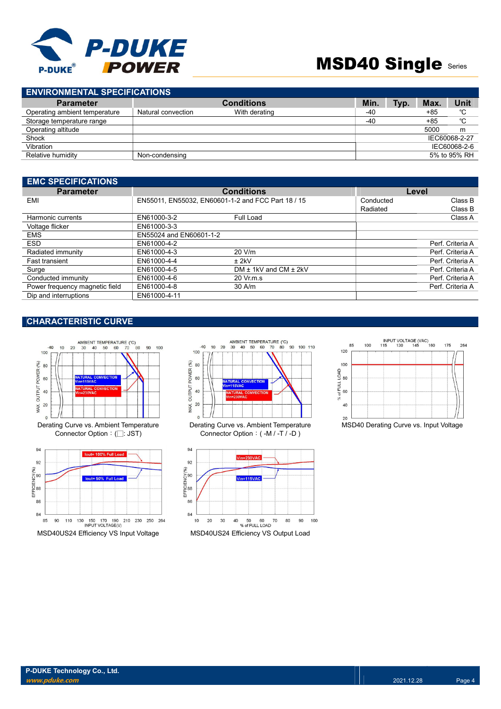

| <b>ENVIRONMENTAL SPECIFICATIONS</b> |                    |                   |  |            |      |       |               |
|-------------------------------------|--------------------|-------------------|--|------------|------|-------|---------------|
| <b>Parameter</b>                    |                    | <b>Conditions</b> |  | <b>Min</b> | Typ. | Max.  | Unit          |
| Operating ambient temperature       | Natural convection | With derating     |  | -40        |      | $+85$ | °C            |
| Storage temperature range           |                    |                   |  | $-40$      |      | $+85$ | °C            |
| Operating altitude                  |                    |                   |  |            |      | 5000  | m             |
| Shock                               |                    |                   |  |            |      |       | IEC60068-2-27 |
| Vibration                           |                    |                   |  |            |      |       | IEC60068-2-6  |
| Relative humidity                   | Non-condensing     |                   |  |            |      |       | 5% to 95% RH  |

| <b>EMC SPECIFICATIONS</b>      |                         |                                                    |          |                  |
|--------------------------------|-------------------------|----------------------------------------------------|----------|------------------|
| <b>Parameter</b>               |                         | <b>Conditions</b>                                  |          | Level            |
| EMI                            |                         | EN55011, EN55032, EN60601-1-2 and FCC Part 18 / 15 |          | Class B          |
|                                |                         |                                                    | Radiated | Class B          |
| Harmonic currents              | EN61000-3-2             | Full Load                                          |          | Class A          |
| Voltage flicker                | EN61000-3-3             |                                                    |          |                  |
| <b>EMS</b>                     | EN55024 and EN60601-1-2 |                                                    |          |                  |
| <b>ESD</b>                     | EN61000-4-2             |                                                    |          | Perf. Criteria A |
| Radiated immunity              | EN61000-4-3             | 20 V/m                                             |          | Perf. Criteria A |
| <b>Fast transient</b>          | EN61000-4-4             | $±$ 2kV                                            |          | Perf. Criteria A |
| Surge                          | EN61000-4-5             | $DM \pm 1kV$ and $CM \pm 2kV$                      |          | Perf. Criteria A |
| Conducted immunity             | EN61000-4-6             | 20 Vr.m.s                                          |          | Perf. Criteria A |
| Power frequency magnetic field | EN61000-4-8             | $30$ A/m                                           |          | Perf. Criteria A |
| Dip and interruptions          | EN61000-4-11            |                                                    |          |                  |

### CHARACTERISTIC CURVE







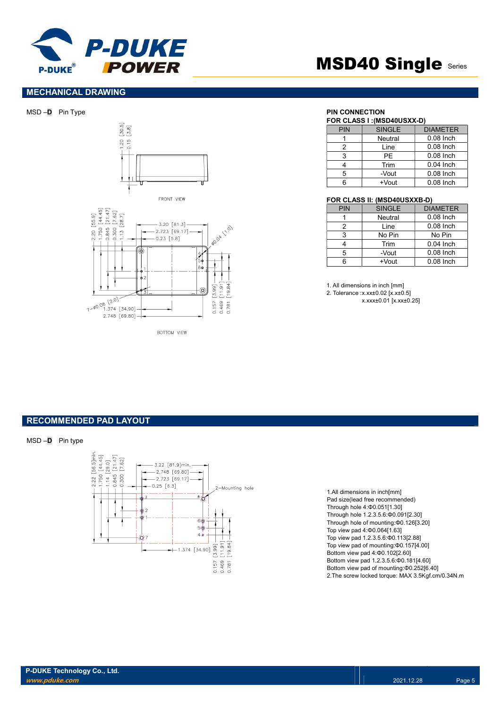

#### MECHANICAL DRAWING

MSD –D Pin Type **PIN CONNECTION** 





**BOTTOM VIEW** 

# **MSD40 Single Series**

### FOR CLASS I :(MSD40USXX-D)

|            | FUR ULASS I :(MSD40USAA-D) |                 |  |  |  |
|------------|----------------------------|-----------------|--|--|--|
| <b>PIN</b> | <b>SINGLE</b>              | <b>DIAMETER</b> |  |  |  |
|            | Neutral                    | $0.08$ Inch     |  |  |  |
|            | Line                       | $0.08$ Inch     |  |  |  |
| 3          | PF                         | $0.08$ Inch     |  |  |  |
|            | Trim                       | $0.04$ Inch     |  |  |  |
| 5          | -Vout                      | $0.08$ Inch     |  |  |  |
|            | +Vout                      | $0.08$ Inch     |  |  |  |

#### FOR CLASS II: (MSD40USXXB-D)

| <b>PIN</b> | <b>SINGLE</b>  | <b>DIAMETER</b> |
|------------|----------------|-----------------|
|            | <b>Neutral</b> | $0.08$ Inch     |
| 2          | Line           | $0.08$ Inch     |
| 3          | No Pin         | No Pin          |
|            | Trim           | $0.04$ Inch     |
| 5          | -Vout          | $0.08$ Inch     |
|            | +Vout          | $0.08$ Inch     |

1. All dimensions in inch [mm] 2. Tolerance :x.xx±0.02 [x.x±0.5] x.xxx±0.01 [x.xx±0.25]

RECOMMENDED PAD LAYOUT





1.All dimensions in inch[mm] Pad size(lead free recommended) Through hole 4:Φ0.051[1.30] Through hole 1.2.3.5.6:Φ0.091[2.30] Through hole of mounting:Φ0.126[3.20] Top view pad 4:Φ0.064[1.63] Top view pad 1.2.3.5.6:Φ0.113[2.88] Top view pad of mounting:Φ0.157[4.00] Bottom view pad 4:Φ0.102[2.60] Bottom view pad 1.2.3.5.6:Φ0.181[4.60] Bottom view pad of mounting:Φ0.252[6.40] 2.The screw locked torque: MAX 3.5Kgf.cm/0.34N.m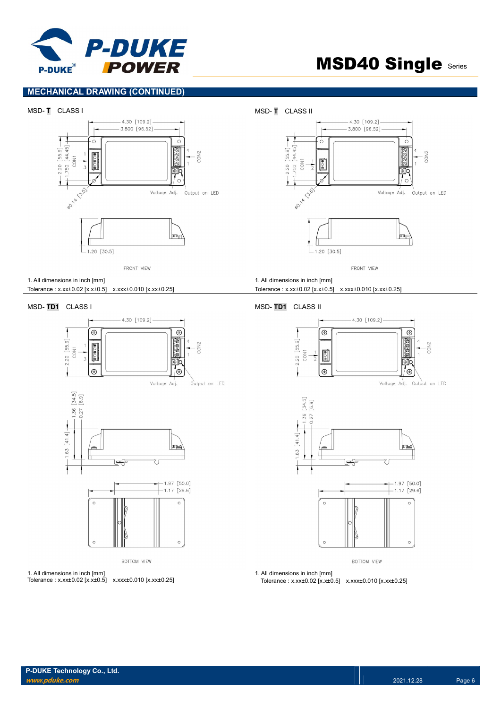

### MECHANICAL DRAWING (CONTINUED)





FRONT VIEW

1. All dimensions in inch [mm] Tolerance : x.xx±0.02 [x.x±0.5] x.xxx±0.010 [x.xx±0.25]

#### MSD- TD1 CLASS I MSD- TD1 CLASS II





**BOTTOM VIEW** 

1. All dimensions in inch [mm] Tolerance : x.xx±0.02 [x.x±0.5] x.xxx±0.010 [x.xx±0.25]

#### 1. All dimensions in inch [mm]

Tolerance : x.xx±0.02 [x.x±0.5] x.xxx±0.010 [x.xx±0.25]





**BOTTOM VIEW** 

1. All dimensions in inch [mm] Tolerance : x.xx±0.02 [x.x±0.5] x.xxx±0.010 [x.xx±0.25]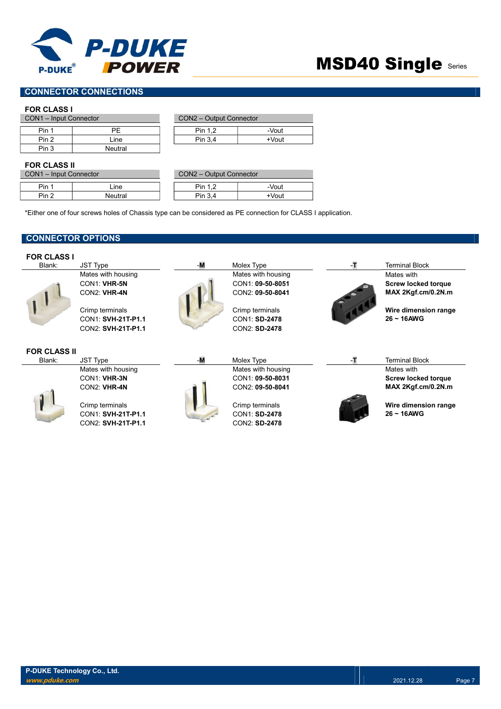

### CONNECTOR CONNECTIONS

#### FOR CLASS I

| CON1 - Input Connector |         | CON2 - Output Connector |       |
|------------------------|---------|-------------------------|-------|
|                        |         |                         |       |
| Pin 1                  | ΡF      | Pin 1.2                 | -Vout |
| Pin 2                  | ∟ine    | Pin 3.4                 | +Vout |
| Pin 3                  | Neutral |                         |       |

| CON2 - Output Connector |          |  |  |  |
|-------------------------|----------|--|--|--|
|                         |          |  |  |  |
| Pin 1.2                 | -Vout    |  |  |  |
| Pin 3.4                 | $+V$ out |  |  |  |

#### FOR CLASS II

| CON1 - Input Connector |            | CON2 - Output Connector |       |
|------------------------|------------|-------------------------|-------|
| Pin 1                  | <i>ine</i> | Pin 1.2                 | -Vout |
| Pin <sub>2</sub>       | Neutral    | Pin 3.4                 | +Vout |

| CON2 - Output Connector |          |  |  |  |
|-------------------------|----------|--|--|--|
|                         |          |  |  |  |
| Pin 1.2                 | -Vout    |  |  |  |
| Pin 3,4                 | $+V$ out |  |  |  |

\*Either one of four screws holes of Chassis type can be considered as PE connection for CLASS I application.

### CONNECTOR OPTIONS

| <b>FOR CLASS I</b>  |                    |    |                    |     |                            |
|---------------------|--------------------|----|--------------------|-----|----------------------------|
| Blank:              | JST Type           | -M | Molex Type         | -п. | <b>Terminal Block</b>      |
|                     | Mates with housing |    | Mates with housing |     | Mates with                 |
|                     | CON1: VHR-5N       |    | CON1: 09-50-8051   |     | <b>Screw locked torque</b> |
|                     | CON2: VHR-4N       |    | CON2: 09-50-8041   |     | MAX 2Kgf.cm/0.2N.m         |
|                     | Crimp terminals    |    | Crimp terminals    |     | Wire dimension range       |
|                     | CON1: SVH-21T-P1.1 |    | CON1: SD-2478      |     | $26 \sim 16$ AWG           |
|                     | CON2: SVH-21T-P1.1 |    | CON2: SD-2478      |     |                            |
| <b>FOR CLASS II</b> |                    |    |                    |     |                            |
| Blank:              | <b>JST Type</b>    | -M | Molex Type         | -т  | Terminal Block             |
|                     | Mates with housing |    | Mates with housing |     | Mates with                 |
|                     | CON1: VHR-3N       |    | CON1: 09-50-8031   |     | <b>Screw locked torque</b> |
|                     | CON2: VHR-4N       |    | CON2: 09-50-8041   |     | MAX 2Kgf.cm/0.2N.m         |
|                     | Crimp terminals    |    | Crimp terminals    |     | Wire dimension range       |
|                     | CON1: SVH-21T-P1.1 |    | CON1: SD-2478      |     | $26 \sim 16$ AWG           |
|                     | CON2: SVH-21T-P1.1 |    | CON2: SD-2478      |     |                            |
|                     |                    |    |                    |     |                            |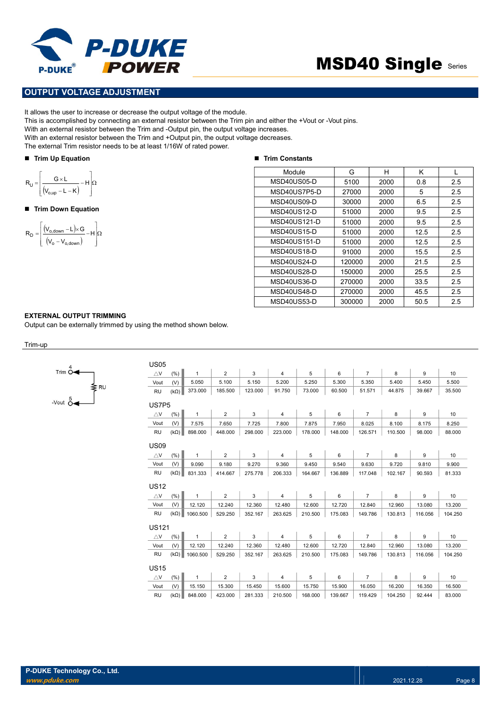

#### OUTPUT VOLTAGE ADJUSTMENT

It allows the user to increase or decrease the output voltage of the module.

This is accomplished by connecting an external resistor between the Trim pin and either the +Vout or -Vout pins.

With an external resistor between the Trim and -Output pin, the output voltage increases.

With an external resistor between the Trim and +Output pin, the output voltage decreases.

The external Trim resistor needs to be at least 1/16W of rated power.

#### **Trim Up Equation**

$$
R_{U} = \left[\frac{G \times L}{(V_{o,up} - L - K)} - H\right] \Omega
$$

#### ■ Trim Down Equation

$$
R_D = \left[ \frac{\left( V_{o,\text{down}} - L \right) \times G}{\left( V_o - V_{o,\text{down}} \right)} - H \right] \Omega
$$

#### ■ Trim Constants

| P-DUKE<br><b>POWER</b><br>-DUKE®                                                                                                                                                                                                                                                                                                                                                                                                                    |                     | <b>MSD40 Single Series</b> |      |      |     |
|-----------------------------------------------------------------------------------------------------------------------------------------------------------------------------------------------------------------------------------------------------------------------------------------------------------------------------------------------------------------------------------------------------------------------------------------------------|---------------------|----------------------------|------|------|-----|
|                                                                                                                                                                                                                                                                                                                                                                                                                                                     |                     |                            |      |      |     |
| PUT VOLTAGE ADJUSTMENT                                                                                                                                                                                                                                                                                                                                                                                                                              |                     |                            |      |      |     |
| vs the user to increase or decrease the output voltage of the module.<br>accomplished by connecting an external resistor between the Trim pin and either the +Vout or -Vout pins.<br>n external resistor between the Trim and -Output pin, the output voltage increases.<br>n external resistor between the Trim and +Output pin, the output voltage decreases.<br>ternal Trim resistor needs to be at least 1/16W of rated power.<br>m Up Equation | ■ Trim Constants    |                            |      |      |     |
|                                                                                                                                                                                                                                                                                                                                                                                                                                                     | Module              | G                          | H    | K    |     |
| $\frac{G \times L}{(V_{\text{oup}} - L - K)} - H \left  \Omega \right $                                                                                                                                                                                                                                                                                                                                                                             | MSD40US05-D         | 5100                       | 2000 | 0.8  | 2.5 |
|                                                                                                                                                                                                                                                                                                                                                                                                                                                     | MSD40US7P5-D        | 27000                      | 2000 | 5    | 2.5 |
|                                                                                                                                                                                                                                                                                                                                                                                                                                                     | MSD40US09-D         | 30000                      | 2000 | 6.5  | 2.5 |
| m Down Equation                                                                                                                                                                                                                                                                                                                                                                                                                                     | MSD40US12-D         | 51000                      | 2000 | 9.5  | 2.5 |
|                                                                                                                                                                                                                                                                                                                                                                                                                                                     | MSD40US121-D        | 51000                      | 2000 | 9.5  | 2.5 |
| $\frac{(V_{o,\text{down}} - L) \times G}{(V_o - V_{o,\text{down}})} - H \bigg  \Omega$                                                                                                                                                                                                                                                                                                                                                              | MSD40US15-D         | 51000                      | 2000 | 12.5 | 2.5 |
|                                                                                                                                                                                                                                                                                                                                                                                                                                                     | <b>MSD40US151-D</b> | 51000                      | 2000 | 12.5 | 2.5 |
|                                                                                                                                                                                                                                                                                                                                                                                                                                                     | MSD40US18-D         | 91000                      | 2000 | 15.5 | 2.5 |
|                                                                                                                                                                                                                                                                                                                                                                                                                                                     | MSD40US24-D         | 120000                     | 2000 | 21.5 | 2.5 |
|                                                                                                                                                                                                                                                                                                                                                                                                                                                     | MSD40US28-D         | 150000                     | 2000 | 25.5 | 2.5 |
|                                                                                                                                                                                                                                                                                                                                                                                                                                                     | MSD40US36-D         | 270000                     | 2000 | 33.5 | 2.5 |
|                                                                                                                                                                                                                                                                                                                                                                                                                                                     | MSD40US48-D         | 270000                     | 2000 | 45.5 | 2.5 |
|                                                                                                                                                                                                                                                                                                                                                                                                                                                     | MSD40US53-D         | 300000                     | 2000 | 50.5 | 2.5 |
|                                                                                                                                                                                                                                                                                                                                                                                                                                                     |                     |                            |      |      |     |

#### EXTERNAL OUTPUT TRIMMING

Output can be externally trimmed by using the method shown below.

#### Trim-up

| 4<br>Trim O                |     |
|----------------------------|-----|
| -Vout $\stackrel{5}{\sim}$ | ∑RU |

| <b>US05</b>   |             |              |                |         |                |         |         |                |         |         |         |
|---------------|-------------|--------------|----------------|---------|----------------|---------|---------|----------------|---------|---------|---------|
| $\triangle$ V | (% )        | 1            | $\overline{2}$ | 3       | $\overline{4}$ | 5       | 6       | $\overline{7}$ | 8       | 9       | 10      |
| Vout          | (V)         | 5.050        | 5.100          | 5.150   | 5.200          | 5.250   | 5.300   | 5.350          | 5.400   | 5.450   | 5.500   |
| <b>RU</b>     | $(k\Omega)$ | 373.000      | 185.500        | 123.000 | 91.750         | 73.000  | 60.500  | 51.571         | 44.875  | 39.667  | 35.500  |
| US7P5         |             |              |                |         |                |         |         |                |         |         |         |
| $\triangle$ V | (% )        | 1            | $\overline{2}$ | 3       | 4              | 5       | 6       | $\overline{7}$ | 8       | 9       | 10      |
| Vout          | (V)         | 7.575        | 7.650          | 7.725   | 7.800          | 7.875   | 7.950   | 8.025          | 8.100   | 8.175   | 8.250   |
| <b>RU</b>     | $(k\Omega)$ | 898.000      | 448.000        | 298.000 | 223.000        | 178.000 | 148.000 | 126.571        | 110.500 | 98.000  | 88.000  |
| <b>US09</b>   |             |              |                |         |                |         |         |                |         |         |         |
| $\triangle$ V | (%)         | $\mathbf{1}$ | $\overline{2}$ | 3       | 4              | 5       | 6       | $\overline{7}$ | 8       | 9       | 10      |
| Vout          | (V)         | 9.090        | 9.180          | 9.270   | 9.360          | 9.450   | 9.540   | 9.630          | 9.720   | 9.810   | 9.900   |
| <b>RU</b>     | $(k\Omega)$ | 831.333      | 414.667        | 275.778 | 206.333        | 164.667 | 136.889 | 117.048        | 102.167 | 90.593  | 81.333  |
| <b>US12</b>   |             |              |                |         |                |         |         |                |         |         |         |
| $\triangle$ V | (% )        | 1            | $\overline{2}$ | 3       | $\overline{4}$ | 5       | 6       | $\overline{7}$ | 8       | 9       | 10      |
| Vout          | (V)         | 12.120       | 12.240         | 12.360  | 12.480         | 12.600  | 12.720  | 12.840         | 12.960  | 13.080  | 13.200  |
| <b>RU</b>     | $(k\Omega)$ | 1060.500     | 529.250        | 352.167 | 263.625        | 210.500 | 175.083 | 149.786        | 130.813 | 116.056 | 104.250 |
| <b>US121</b>  |             |              |                |         |                |         |         |                |         |         |         |
| $\triangle$ V | (% )        | 1            | $\overline{2}$ | 3       | $\overline{4}$ | 5       | 6       | $\overline{7}$ | 8       | 9       | 10      |
| Vout          | (V)         | 12.120       | 12.240         | 12.360  | 12.480         | 12.600  | 12.720  | 12.840         | 12.960  | 13.080  | 13.200  |
| <b>RU</b>     | $(k\Omega)$ | 1060.500     | 529.250        | 352.167 | 263.625        | 210.500 | 175.083 | 149.786        | 130.813 | 116.056 | 104.250 |
| <b>US15</b>   |             |              |                |         |                |         |         |                |         |         |         |
| $\triangle$ V | (%)         | $\mathbf{1}$ | $\overline{2}$ | 3       | 4              | 5       | 6       | $\overline{7}$ | 8       | 9       | 10      |
| Vout          | (V)         | 15.150       | 15.300         | 15.450  | 15.600         | 15.750  | 15.900  | 16.050         | 16.200  | 16.350  | 16.500  |
| <b>RU</b>     | $(k\Omega)$ | 848.000      | 423.000        | 281.333 | 210.500        | 168,000 | 139.667 | 119.429        | 104.250 | 92.444  | 83.000  |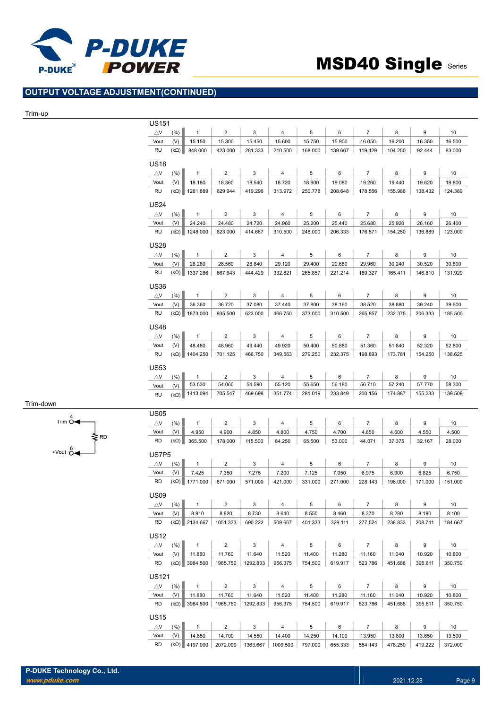

### OUTPUT VOLTAGE ADJUSTMENT(CONTINUED)

#### Trim-up

Trim-down

Trim  $\stackrel{4}{\circ}$ 

 $+$ Vout  $0$ 

₹RD

| US <sub>151</sub>          |             |                               |                  |                  |                  |                  |                  |                  |                  |                  |                  |
|----------------------------|-------------|-------------------------------|------------------|------------------|------------------|------------------|------------------|------------------|------------------|------------------|------------------|
| $\triangle$ V              | (%)         | 1                             | $\overline{2}$   | 3                | 4                | 5                | 6                | $\overline{7}$   | 8                | 9                | 10               |
| Vout                       | (V)         | 15.150                        | 15.300           | 15.450           | 15.600           | 15.750           | 15.900           | 16.050           | 16.200           | 16.350           | 16.500           |
| RU                         | $(k\Omega)$ | 848.000                       | 423.000          | 281.333          | 210.500          | 168.000          | 139.667          | 119.429          | 104.250          | 92.444           | 83.000           |
|                            |             |                               |                  |                  |                  |                  |                  |                  |                  |                  |                  |
| <b>US18</b>                |             |                               |                  |                  |                  |                  |                  |                  |                  |                  |                  |
| $\triangle$ V              | $(\% )$     | $\mathbf{1}$                  | $\overline{2}$   | 3                | 4                | 5                | 6                | $\overline{7}$   | 8                | 9                | 10               |
| Vout                       | (V)         | 18.180                        | 18.360           | 18.540           | 18.720           | 18.900           | 19.080           | 19.260           | 19.440           | 19.620           | 19.800           |
| RU                         | $(k\Omega)$ | 1261.889                      | 629.944          | 419.296          | 313.972          | 250.778          | 208.648          | 178.556          | 155.986          | 138.432          | 124.389          |
| <b>US24</b>                |             |                               |                  |                  |                  |                  |                  |                  |                  |                  |                  |
| $\triangle$ V              | (%)         | $\mathbf{1}$                  | $\overline{2}$   | 3                | 4                | 5                | 6                | $\overline{7}$   | 8                | 9                | 10               |
| Vout                       | (V)         | 24.240                        | 24.480           | 24.720           | 24.960           | 25.200           | 25.440           | 25.680           | 25.920           | 26.160           | 26.400           |
| <b>RU</b>                  | $(k\Omega)$ | 1248.000                      | 623.000          | 414.667          | 310.500          | 248.000          | 206.333          | 176.571          | 154.250          | 136.889          | 123.000          |
|                            |             |                               |                  |                  |                  |                  |                  |                  |                  |                  |                  |
| <b>US28</b>                |             |                               |                  |                  |                  |                  |                  |                  |                  |                  |                  |
| $\bigtriangleup\mathsf{V}$ | $(\% )$     | $\mathbf{1}$                  | $\overline{2}$   | 3                | 4                | 5                | 6                | $\overline{7}$   | 8                | 9                | 10               |
| Vout                       | (V)         | 28.280                        | 28.560           | 28.840           | 29.120           | 29.400           | 29.680           | 29.960           | 30.240           | 30.520           | 30.800           |
| RU                         | $(k\Omega)$ | 1337.286                      | 667.643          | 444.429          | 332.821          | 265.857          | 221.214          | 189.327          | 165.411          | 146.810          | 131.929          |
| <b>US36</b>                |             |                               |                  |                  |                  |                  |                  |                  |                  |                  |                  |
| $\triangle$ V              | $(\% )$     | $\mathbf{1}$                  | $\overline{2}$   | 3                | 4                | 5                | 6                | $\overline{7}$   | 8                | 9                | 10               |
| Vout                       | (V)         | 36.360                        | 36.720           | 37.080           | 37.440           | 37.800           | 38.160           | 38.520           | 38.880           | 39.240           | 39.600           |
| RU                         | $(k\Omega)$ | 1873.000                      | 935.500          | 623.000          | 466.750          | 373.000          | 310.500          | 265.857          | 232.375          | 206.333          | 185.500          |
|                            |             |                               |                  |                  |                  |                  |                  |                  |                  |                  |                  |
| <b>US48</b>                |             |                               |                  |                  |                  |                  |                  |                  |                  |                  |                  |
| $\bigtriangleup\mathsf{V}$ | (% )        | $\mathbf{1}$                  | $\overline{2}$   | 3                | 4                | 5                | 6                | $\overline{7}$   | 8                | 9                | 10               |
| Vout                       | (V)         | 48.480                        | 48.960           | 49.440           | 49.920           | 50.400           | 50.880           | 51.360           | 51.840           | 52.320           | 52.800           |
| RU                         | $(k\Omega)$ | 1404.250                      | 701.125          | 466.750          | 349.563          | 279.250          | 232.375          | 198.893          | 173.781          | 154.250          | 138.625          |
| <b>US53</b>                |             |                               |                  |                  |                  |                  |                  |                  |                  |                  |                  |
| $\triangle$ V              | (% )        | 1                             | 2                | 3                | 4                | 5                | 6                | 7                | 8                | 9                | 10               |
| Vout                       | (V)         | 53.530                        | 54.060           | 54.590           | 55.120           | 55.650           | 56.180           | 56.710           | 57.240           | 57.770           | 58.300           |
| <b>RU</b>                  | $(k\Omega)$ | 1413.094                      | 705.547          | 469.698          | 351.774          | 281.019          | 233.849          | 200.156          | 174.887          | 155.233          | 139.509          |
|                            |             |                               |                  |                  |                  |                  |                  |                  |                  |                  |                  |
| <b>US05</b>                |             |                               |                  |                  |                  |                  |                  |                  |                  |                  |                  |
| $\triangle$ V              | (% )        | $\mathbf{1}$                  | $\overline{2}$   | 3                | 4                | 5                | 6                | $\overline{7}$   | 8                | 9                | 10               |
| Vout                       | (V)         | 4.950                         | 4.900            | 4.850            | 4.800            | 4.750            | 4.700            | 4.650            | 4.600            | 4.550            | 4.500            |
| <b>RD</b>                  | $(k\Omega)$ | 365.500                       | 178.000          | 115.500          | 84.250           | 65.500           | 53.000           | 44.071           | 37.375           | 32.167           | 28.000           |
| US7P <sub>5</sub>          |             |                               |                  |                  |                  |                  |                  |                  |                  |                  |                  |
|                            |             |                               |                  |                  |                  |                  |                  |                  |                  |                  |                  |
| $\triangle$ V<br>Vout      | (%)<br>(V)  | $\mathbf{1}$                  | $\overline{2}$   | 3                | 4                | 5                | 6                | $\overline{7}$   | 8                | 9                | 10               |
| <b>RD</b>                  |             | 7.425<br>$(k\Omega)$ 1771.000 | 7.350<br>871.000 | 7.275<br>571.000 | 7.200<br>421.000 | 7.125<br>331.000 | 7.050<br>271.000 | 6.975<br>228.143 | 6.900<br>196.000 | 6.825<br>171.000 | 6.750<br>151.000 |
|                            |             |                               |                  |                  |                  |                  |                  |                  |                  |                  |                  |
| <b>US09</b>                |             |                               |                  |                  |                  |                  |                  |                  |                  |                  |                  |
| $\triangle$ V              | (%)         | $\mathbf{1}$                  | $\overline{a}$   | 3                | 4                | 5                | 6                | $\overline{7}$   | 8                | 9                | 10               |
| Vout                       | (V)         | 8.910                         | 8.820            | 8.730            | 8.640            | 8.550            | 8.460            | 8.370            | 8.280            | 8.190            | 8.100            |
| RD                         |             | $(k\Omega)$ 2134.667          | 1051.333         | 690.222          | 509.667          | 401.333          | 329.111          | 277.524          | 238.833          | 208.741          | 184.667          |
| <b>US12</b>                |             |                               |                  |                  |                  |                  |                  |                  |                  |                  |                  |
| $\triangle$ V              | (%)         | $\mathbf{1}$                  | $\overline{2}$   | 3                | 4                | 5                | 6                | $\overline{7}$   | 8                | 9                | 10               |
| Vout                       | (V)         | 11.880                        | 11.760           | 11.640           | 11.520           | 11.400           | 11.280           | 11.160           | 11.040           | 10.920           | 10.800           |
| RD                         | $(k\Omega)$ | 3984.500                      | 1965.750         | 1292.833         | 956.375          | 754.500          | 619.917          | 523.786          | 451.688          | 395.611          | 350.750          |
|                            |             |                               |                  |                  |                  |                  |                  |                  |                  |                  |                  |
| <b>US121</b>               |             |                               |                  |                  |                  |                  |                  |                  |                  |                  |                  |
| $\triangle$ V              | (%)         | $\mathbf{1}$                  | $\overline{2}$   | 3                | 4                | 5                | 6                | $\overline{7}$   | 8                | 9                | 10               |
| Vout                       | (V)         | 11.880                        | 11.760           | 11.640           | 11.520           | 11.400           | 11.280           | 11.160           | 11.040           | 10.920           | 10.800           |
| <b>RD</b>                  |             | $(k\Omega)$ 3984.500          | 1965.750         | 1292.833         | 956.375          | 754.500          | 619.917          | 523.786          | 451.688          | 395.611          | 350.750          |
|                            |             |                               |                  |                  |                  |                  |                  |                  |                  |                  |                  |
| <b>US15</b>                |             |                               |                  |                  |                  |                  |                  |                  |                  |                  |                  |
| $\triangle$ V              | (%)         | $\mathbf{1}$                  | $\overline{2}$   | 3                | 4                | 5                | 6                | $\overline{7}$   | 8                | 9                | 10               |
| Vout                       | (V)         | 14.850                        | 14.700           | 14.550           | 14.400           | 14.250           | 14.100           | 13.950           | 13.800           | 13.650           | 13.500           |
| <b>RD</b>                  | $(k\Omega)$ | 4197.000                      | 2072.000         | 1363.667         | 1009.500         | 797.000          | 655.333          | 554.143          | 478.250          | 419.222          | 372.000          |